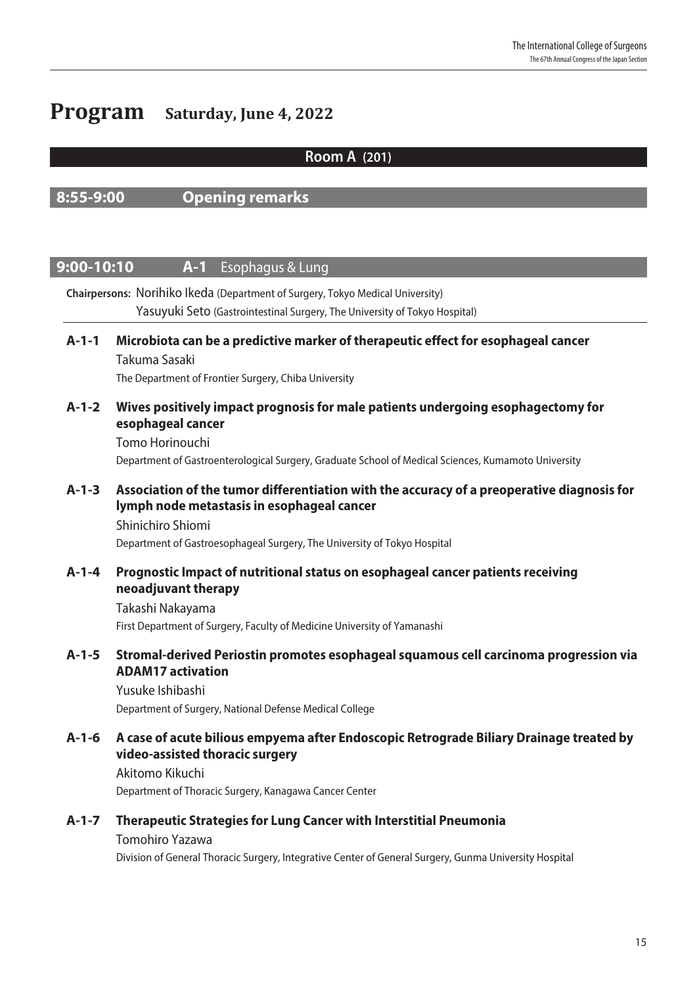# **Program Saturday, June 4, 2022**

## Room A (201)

## 8:55-9:00 Opening remarks

### **9:00-10:10 A-1** Esophagus & Lung

Chairpersons: Norihiko Ikeda (Department of Surgery, Tokyo Medical University) Yasuyuki Seto (Gastrointestinal Surgery, The University of Tokyo Hospital) A-1-1 Microbiota can be a predictive marker of therapeutic effect for esophageal cancer Takuma Sasaki The Department of Frontier Surgery, Chiba University A-1-2 Wives positively impact prognosis for male patients undergoing esophagectomy for esophageal cancer Tomo Horinouchi Department of Gastroenterological Surgery, Graduate School of Medical Sciences, Kumamoto University A-1-3 Association of the tumor differentiation with the accuracy of a preoperative diagnosis for lymph node metastasis in esophageal cancer Shinichiro Shiomi Department of Gastroesophageal Surgery, The University of Tokyo Hospital A-1-4 Prognostic Impact of nutritional status on esophageal cancer patients receiving neoadjuvant therapy Takashi Nakayama First Department of Surgery, Faculty of Medicine University of Yamanashi A-1-5 Stromal-derived Periostin promotes esophageal squamous cell carcinoma progression via ADAM17 activation Yusuke Ishibashi Department of Surgery, National Defense Medical College A-1-6 A case of acute bilious empyema after Endoscopic Retrograde Biliary Drainage treated by video-assisted thoracic surgery Akitomo Kikuchi Department of Thoracic Surgery, Kanagawa Cancer Center A-1-7 Therapeutic Strategies for Lung Cancer with Interstitial Pneumonia Tomohiro Yazawa

Division of General Thoracic Surgery, Integrative Center of General Surgery, Gunma University Hospital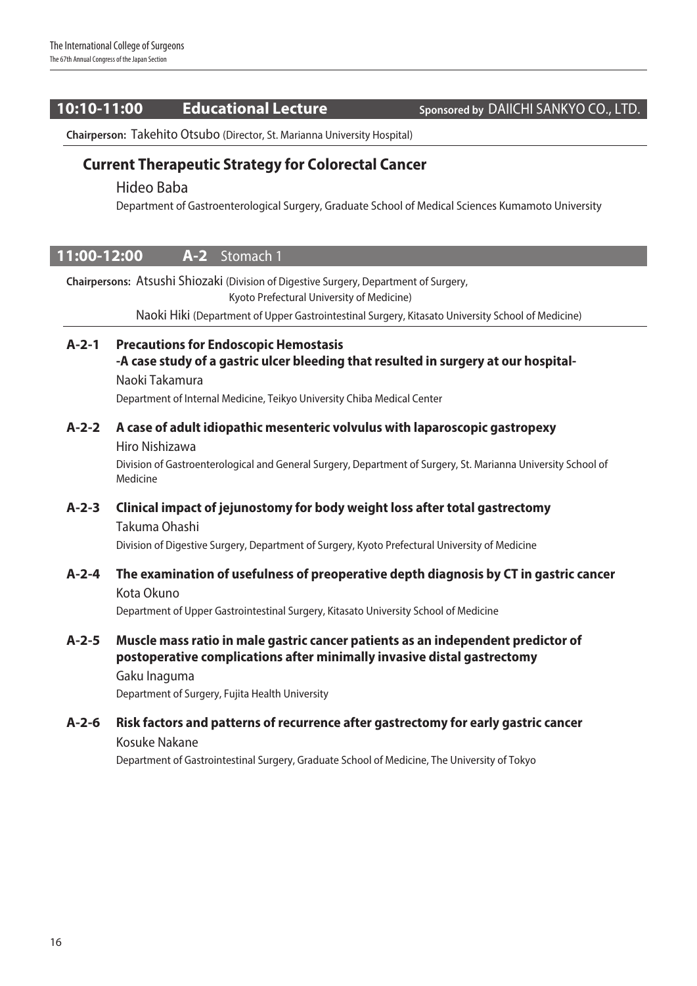## 10:10-11:00 **Educational Lecture** Sponsored by DAIICHI SANKYO CO., LTD.

Chairperson: Takehito Otsubo (Director, St. Marianna University Hospital)

## Current Therapeutic Strategy for Colorectal Cancer

#### Hideo Baba

Department of Gastroenterological Surgery, Graduate School of Medical Sciences Kumamoto University

### 11:00-12:00 A-2 Stomach 1

Chairpersons: Atsushi Shiozaki (Division of Digestive Surgery, Department of Surgery,

Kyoto Prefectural University of Medicine)

Naoki Hiki (Department of Upper Gastrointestinal Surgery, Kitasato University School of Medicine)

### A-2-1 Precautions for Endoscopic Hemostasis

-A case study of a gastric ulcer bleeding that resulted in surgery at our hospital-Naoki Takamura Department of Internal Medicine, Teikyo University Chiba Medical Center

### A-2-2 A case of adult idiopathic mesenteric volvulus with laparoscopic gastropexy Hiro Nishizawa

Division of Gastroenterological and General Surgery, Department of Surgery, St. Marianna University School of Medicine

### A-2-3 Clinical impact of jejunostomy for body weight loss after total gastrectomy Takuma Ohashi

Division of Digestive Surgery, Department of Surgery, Kyoto Prefectural University of Medicine

# A-2-4 The examination of usefulness of preoperative depth diagnosis by CT in gastric cancer

Kota Okuno Department of Upper Gastrointestinal Surgery, Kitasato University School of Medicine

## A-2-5 Muscle mass ratio in male gastric cancer patients as an independent predictor of postoperative complications after minimally invasive distal gastrectomy

Gaku Inaguma Department of Surgery, Fujita Health University

#### A-2-6 Risk factors and patterns of recurrence after gastrectomy for early gastric cancer Kosuke Nakane

Department of Gastrointestinal Surgery, Graduate School of Medicine, The University of Tokyo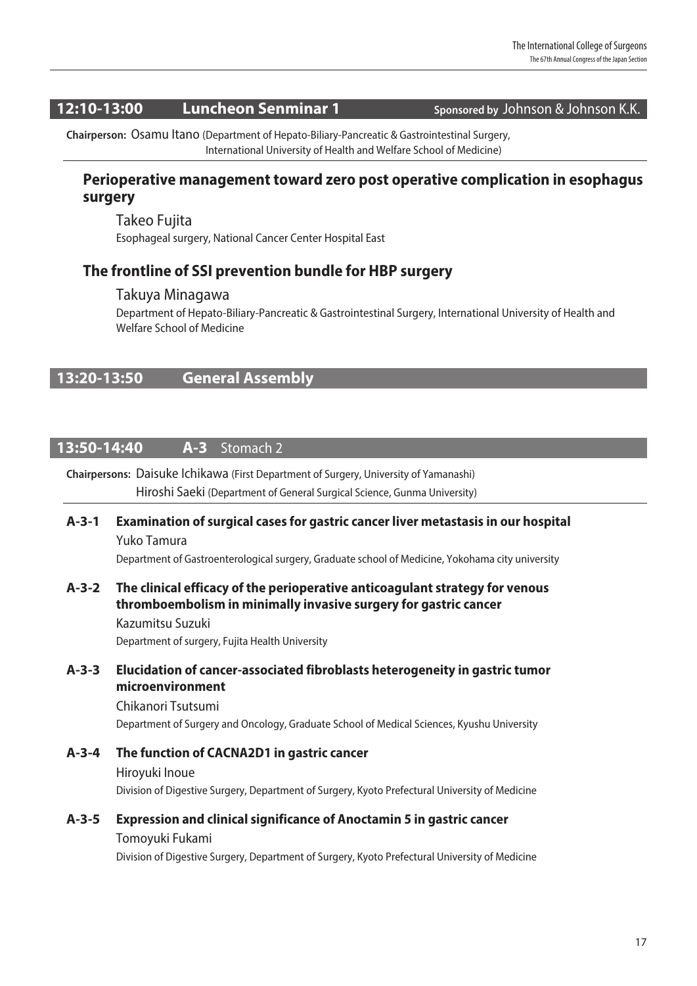## 12:10-13:00 Luncheon Senminar 1 Sponsored by Johnson & Johnson K.K.

Chairperson: Osamu Itano (Department of Hepato-Biliary-Pancreatic & Gastrointestinal Surgery, International University of Health and Welfare School of Medicine)

## Perioperative management toward zero post operative complication in esophagus surgery

Takeo Fujita Esophageal surgery, National Cancer Center Hospital East

## The frontline of SSI prevention bundle for HBP surgery

#### Takuya Minagawa

Department of Hepato-Biliary-Pancreatic & Gastrointestinal Surgery, International University of Health and Welfare School of Medicine

## 13:20-13:50 General Assembly

## 13:50-14:40 **A-3** Stomach 2

#### Chairpersons: Daisuke Ichikawa (First Department of Surgery, University of Yamanashi)

Hiroshi Saeki (Department of General Surgical Science, Gunma University)

### A-3-1 Examination of surgical cases for gastric cancer liver metastasis in our hospital Yuko Tamura

Department of Gastroenterological surgery, Graduate school of Medicine, Yokohama city university

#### A-3-2 The clinical efficacy of the perioperative anticoagulant strategy for venous thromboembolism in minimally invasive surgery for gastric cancer

Kazumitsu Suzuki Department of surgery, Fujita Health University

#### A-3-3 Elucidation of cancer-associated fibroblasts heterogeneity in gastric tumor microenvironment

Chikanori Tsutsumi Department of Surgery and Oncology, Graduate School of Medical Sciences, Kyushu University

## A-3-4 The function of CACNA2D1 in gastric cancer Hiroyuki Inoue Division of Digestive Surgery, Department of Surgery, Kyoto Prefectural University of Medicine

### A-3-5 Expression and clinical significance of Anoctamin 5 in gastric cancer

#### Tomoyuki Fukami

Division of Digestive Surgery, Department of Surgery, Kyoto Prefectural University of Medicine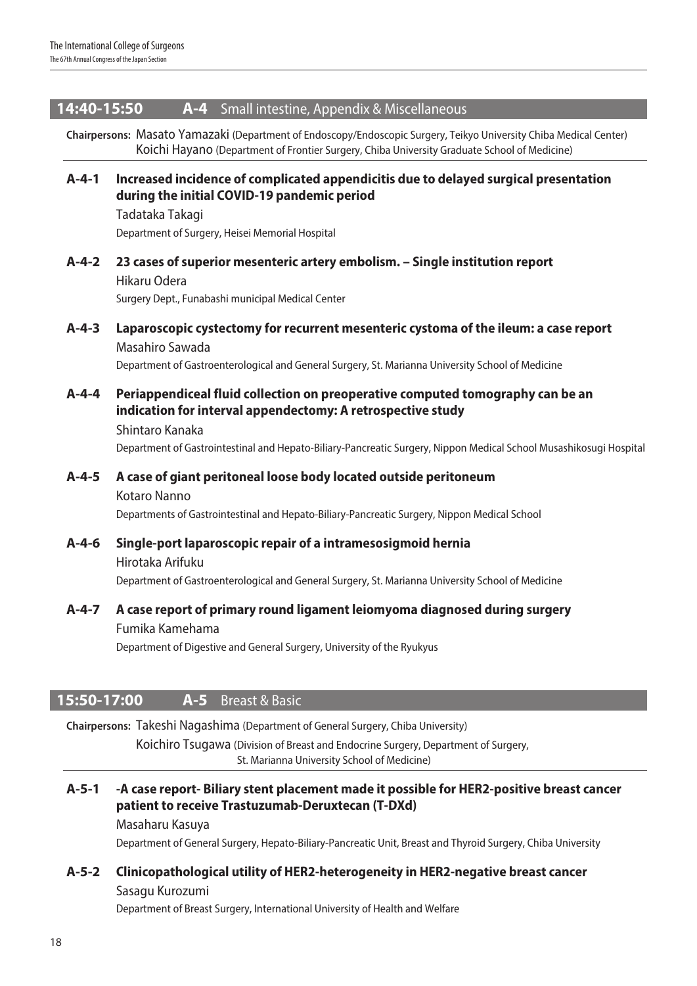#### 14:40-15:50 A-4 Small intestine, Appendix & Miscellaneous

Chairpersons: Masato Yamazaki (Department of Endoscopy/Endoscopic Surgery, Teikyo University Chiba Medical Center) Koichi Hayano (Department of Frontier Surgery, Chiba University Graduate School of Medicine)

A-4-1 Increased incidence of complicated appendicitis due to delayed surgical presentation during the initial COVID-19 pandemic period

Tadataka Takagi Department of Surgery, Heisei Memorial Hospital

A-4-2 23 cases of superior mesenteric artery embolism. – Single institution report

Hikaru Odera Surgery Dept., Funabashi municipal Medical Center

- A-4-3 Laparoscopic cystectomy for recurrent mesenteric cystoma of the ileum: a case report Masahiro Sawada Department of Gastroenterological and General Surgery, St. Marianna University School of Medicine
- A-4-4 Periappendiceal fluid collection on preoperative computed tomography can be an indication for interval appendectomy: A retrospective study

Shintaro Kanaka Department of Gastrointestinal and Hepato-Biliary-Pancreatic Surgery, Nippon Medical School Musashikosugi Hospital

A-4-5 A case of giant peritoneal loose body located outside peritoneum Kotaro Nanno Departments of Gastrointestinal and Hepato-Biliary-Pancreatic Surgery, Nippon Medical School

A-4-6 Single-port laparoscopic repair of a intramesosigmoid hernia Hirotaka Arifuku Department of Gastroenterological and General Surgery, St. Marianna University School of Medicine

A-4-7 A case report of primary round ligament leiomyoma diagnosed during surgery Fumika Kamehama

Department of Digestive and General Surgery, University of the Ryukyus

## **15:50-17:00 A-5** Breast & Basic

Chairpersons: Takeshi Nagashima (Department of General Surgery, Chiba University)

Koichiro Tsugawa (Division of Breast and Endocrine Surgery, Department of Surgery, St. Marianna University School of Medicine)

A-5-1 -A case report- Biliary stent placement made it possible for HER2-positive breast cancer patient to receive Trastuzumab-Deruxtecan (T-DXd)

#### Masaharu Kasuya

Department of General Surgery, Hepato-Biliary-Pancreatic Unit, Breast and Thyroid Surgery, Chiba University

# A-5-2 Clinicopathological utility of HER2-heterogeneity in HER2-negative breast cancer

#### Sasagu Kurozumi

Department of Breast Surgery, International University of Health and Welfare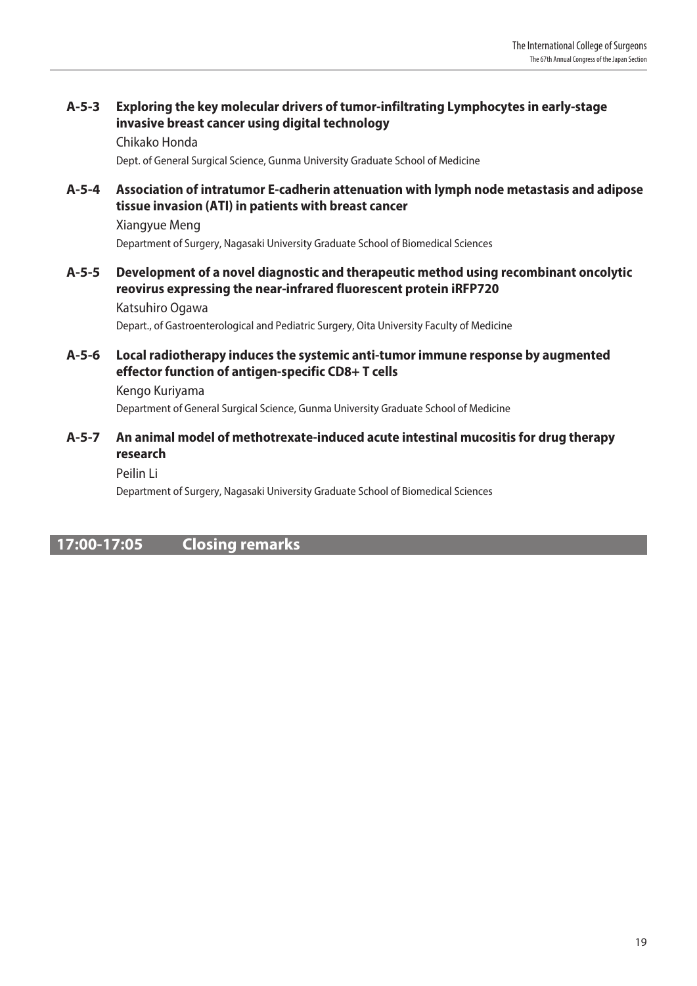## A-5-3 Exploring the key molecular drivers of tumor-infiltrating Lymphocytes in early-stage invasive breast cancer using digital technology

Chikako Honda Dept. of General Surgical Science, Gunma University Graduate School of Medicine

#### A-5-4 Association of intratumor E-cadherin attenuation with lymph node metastasis and adipose tissue invasion (ATI) in patients with breast cancer

Xiangyue Meng Department of Surgery, Nagasaki University Graduate School of Biomedical Sciences

### A-5-5 Development of a novel diagnostic and therapeutic method using recombinant oncolytic reovirus expressing the near-infrared fluorescent protein iRFP720

Katsuhiro Ogawa Depart., of Gastroenterological and Pediatric Surgery, Oita University Faculty of Medicine

#### A-5-6 Local radiotherapy induces the systemic anti-tumor immune response by augmented effector function of antigen-specific CD8+ T cells

Kengo Kuriyama Department of General Surgical Science, Gunma University Graduate School of Medicine

#### A-5-7 An animal model of methotrexate-induced acute intestinal mucositis for drug therapy research

#### Peilin Li

Department of Surgery, Nagasaki University Graduate School of Biomedical Sciences

## 17:00-17:05 Closing remarks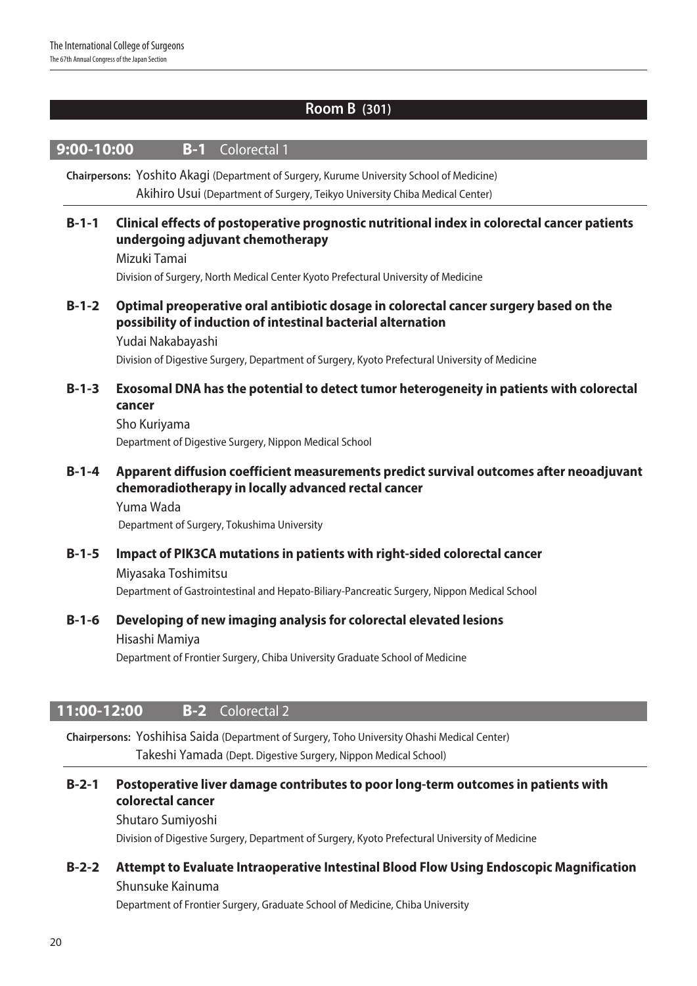## Room B (301)

| 9:00-10:00                                                                                                                                                                | Colorectal 1<br>$B-1$                                                                                                                                                                                                                                                        |
|---------------------------------------------------------------------------------------------------------------------------------------------------------------------------|------------------------------------------------------------------------------------------------------------------------------------------------------------------------------------------------------------------------------------------------------------------------------|
| Chairpersons: Yoshito Akagi (Department of Surgery, Kurume University School of Medicine)<br>Akihiro Usui (Department of Surgery, Teikyo University Chiba Medical Center) |                                                                                                                                                                                                                                                                              |
| $B-1-1$                                                                                                                                                                   | Clinical effects of postoperative prognostic nutritional index in colorectal cancer patients<br>undergoing adjuvant chemotherapy<br>Mizuki Tamai<br>Division of Surgery, North Medical Center Kyoto Prefectural University of Medicine                                       |
| $B-1-2$                                                                                                                                                                   | Optimal preoperative oral antibiotic dosage in colorectal cancer surgery based on the<br>possibility of induction of intestinal bacterial alternation<br>Yudai Nakabayashi<br>Division of Digestive Surgery, Department of Surgery, Kyoto Prefectural University of Medicine |
| $B-1-3$                                                                                                                                                                   | Exosomal DNA has the potential to detect tumor heterogeneity in patients with colorectal<br>cancer<br>Sho Kuriyama<br>Department of Digestive Surgery, Nippon Medical School                                                                                                 |
| $B-1-4$                                                                                                                                                                   | Apparent diffusion coefficient measurements predict survival outcomes after neoadjuvant<br>chemoradiotherapy in locally advanced rectal cancer<br>Yuma Wada<br>Department of Surgery, Tokushima University                                                                   |
| $B-1-5$                                                                                                                                                                   | Impact of PIK3CA mutations in patients with right-sided colorectal cancer<br>Miyasaka Toshimitsu<br>Department of Gastrointestinal and Hepato-Biliary-Pancreatic Surgery, Nippon Medical School                                                                              |
| $B-1-6$                                                                                                                                                                   | Developing of new imaging analysis for colorectal elevated lesions<br>Hisashi Mamiya<br>Department of Frontier Surgery, Chiba University Graduate School of Medicine                                                                                                         |
| 11:00-12:00                                                                                                                                                               | <b>Colorectal 2</b><br>$B-2$                                                                                                                                                                                                                                                 |

Chairpersons: Yoshihisa Saida (Department of Surgery, Toho University Ohashi Medical Center) Takeshi Yamada (Dept. Digestive Surgery, Nippon Medical School)

## B-2-1 Postoperative liver damage contributes to poor long-term outcomes in patients with colorectal cancer

Shutaro Sumiyoshi

Division of Digestive Surgery, Department of Surgery, Kyoto Prefectural University of Medicine

## B-2-2 Attempt to Evaluate Intraoperative Intestinal Blood Flow Using Endoscopic Magnification Shunsuke Kainuma

Department of Frontier Surgery, Graduate School of Medicine, Chiba University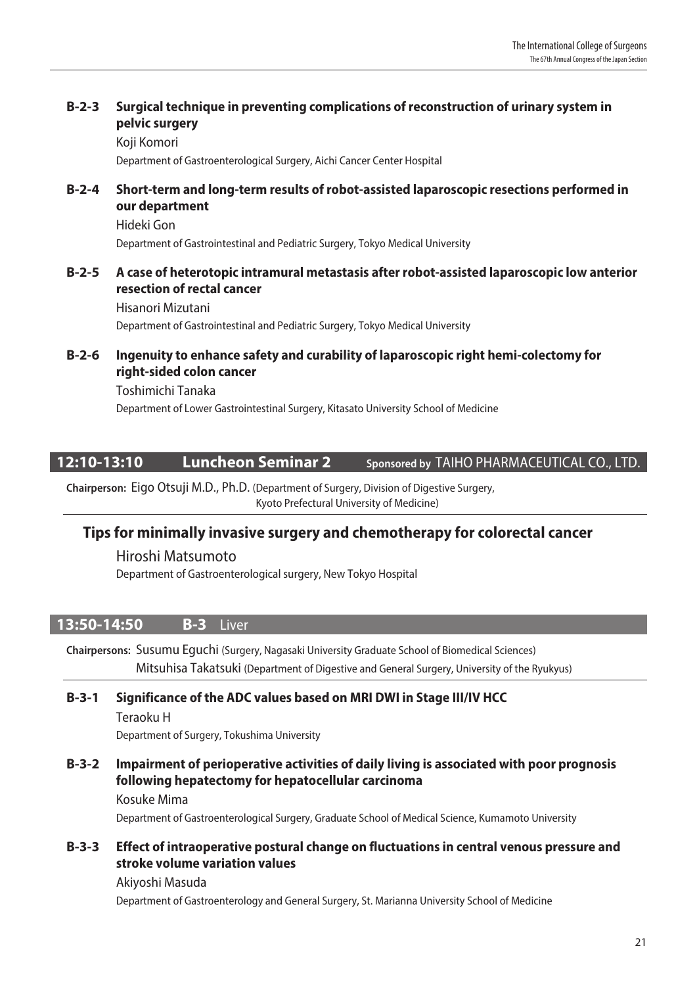## B-2-3 Surgical technique in preventing complications of reconstruction of urinary system in pelvic surgery

Koji Komori

Department of Gastroenterological Surgery, Aichi Cancer Center Hospital

### B-2-4 Short-term and long-term results of robot-assisted laparoscopic resections performed in our department

Hideki Gon Department of Gastrointestinal and Pediatric Surgery, Tokyo Medical University

#### B-2-5 A case of heterotopic intramural metastasis after robot-assisted laparoscopic low anterior resection of rectal cancer

Hisanori Mizutani Department of Gastrointestinal and Pediatric Surgery, Tokyo Medical University

#### B-2-6 Ingenuity to enhance safety and curability of laparoscopic right hemi-colectomy for right-sided colon cancer

Toshimichi Tanaka Department of Lower Gastrointestinal Surgery, Kitasato University School of Medicine

## 12:10-13:10 **Luncheon Seminar 2** Sponsored by TAIHO PHARMACEUTICAL CO., LTD.

Chairperson: Eigo Otsuji M.D., Ph.D. (Department of Surgery, Division of Digestive Surgery, Kyoto Prefectural University of Medicine)

## Tips for minimally invasive surgery and chemotherapy for colorectal cancer

Hiroshi Matsumoto Department of Gastroenterological surgery, New Tokyo Hospital

## 13:50-14:50 **B-3** Liver

Chairpersons: Susumu Eguchi (Surgery, Nagasaki University Graduate School of Biomedical Sciences) Mitsuhisa Takatsuki (Department of Digestive and General Surgery, University of the Ryukyus)

#### B-3-1 Significance of the ADC values based on MRI DWI in Stage III/IV HCC

Teraoku H Department of Surgery, Tokushima University

#### B-3-2 Impairment of perioperative activities of daily living is associated with poor prognosis following hepatectomy for hepatocellular carcinoma

Kosuke Mima Department of Gastroenterological Surgery, Graduate School of Medical Science, Kumamoto University

#### B-3-3 Effect of intraoperative postural change on fluctuations in central venous pressure and stroke volume variation values

#### Akiyoshi Masuda Department of Gastroenterology and General Surgery, St. Marianna University School of Medicine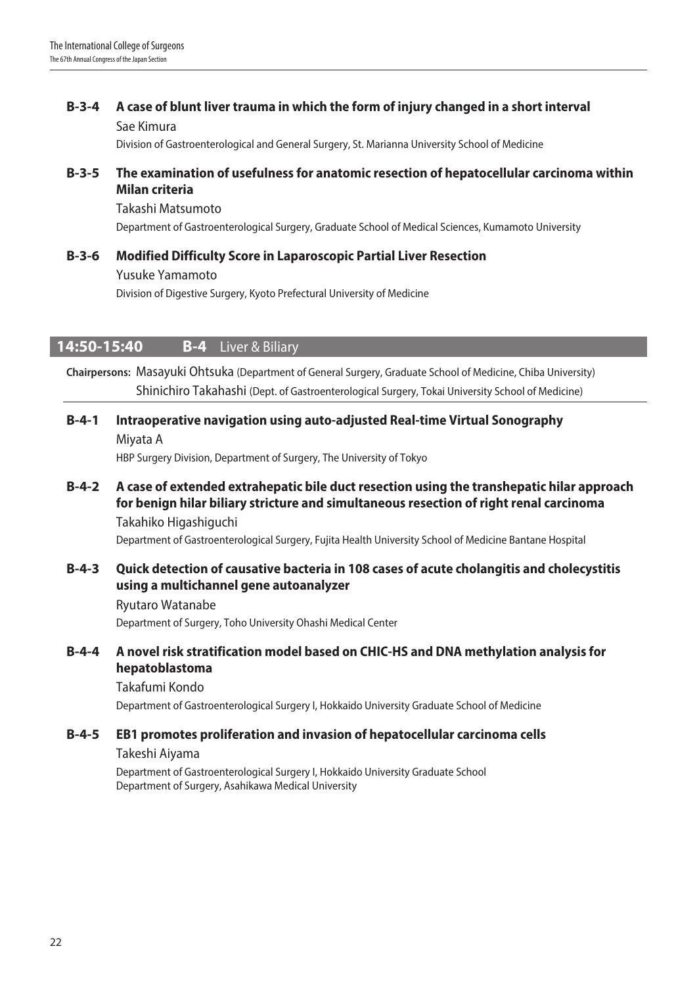# B-3-4 A case of blunt liver trauma in which the form of injury changed in a short interval

Sae Kimura

Division of Gastroenterological and General Surgery, St. Marianna University School of Medicine

### B-3-5 The examination of usefulness for anatomic resection of hepatocellular carcinoma within Milan criteria

Takashi Matsumoto Department of Gastroenterological Surgery, Graduate School of Medical Sciences, Kumamoto University

## B-3-6 Modified Difficulty Score in Laparoscopic Partial Liver Resection

Yusuke Yamamoto Division of Digestive Surgery, Kyoto Prefectural University of Medicine

## **14:50-15:40 B-4** Liver & Biliary

Chairpersons: Masayuki Ohtsuka (Department of General Surgery, Graduate School of Medicine, Chiba University) Shinichiro Takahashi (Dept. of Gastroenterological Surgery, Tokai University School of Medicine)

## B-4-1 Intraoperative navigation using auto-adjusted Real-time Virtual Sonography Miyata A

HBP Surgery Division, Department of Surgery, The University of Tokyo

B-4-2 A case of extended extrahepatic bile duct resection using the transhepatic hilar approach for benign hilar biliary stricture and simultaneous resection of right renal carcinoma Takahiko Higashiguchi

Department of Gastroenterological Surgery, Fujita Health University School of Medicine Bantane Hospital

### B-4-3 Quick detection of causative bacteria in 108 cases of acute cholangitis and cholecystitis using a multichannel gene autoanalyzer

Ryutaro Watanabe

Department of Surgery, Toho University Ohashi Medical Center

### B-4-4 A novel risk stratification model based on CHIC-HS and DNA methylation analysis for hepatoblastoma

Takafumi Kondo

Department of Gastroenterological Surgery I, Hokkaido University Graduate School of Medicine

## B-4-5 EB1 promotes proliferation and invasion of hepatocellular carcinoma cells

Takeshi Aiyama

Department of Gastroenterological Surgery I, Hokkaido University Graduate School Department of Surgery, Asahikawa Medical University